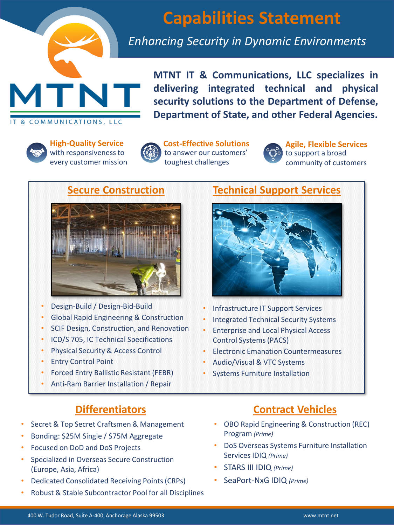

IT & COMMUNICATIONS, LLC

# **Capabilities Statement**

# *Enhancing Security in Dynamic Environments*



**High-Quality Service**  with responsiveness to every customer mission



**Cost-Effective Solutions** to answer our customers' toughest challenges



**Agile, Flexible Services** to support a broad community of customers

## **Secure Construction**



- Design-Build / Design-Bid-Build
- Global Rapid Engineering & Construction
- SCIF Design, Construction, and Renovation
- ICD/S 705, IC Technical Specifications
- Physical Security & Access Control
- Entry Control Point
- Forced Entry Ballistic Resistant (FEBR)
- Anti-Ram Barrier Installation / Repair

# **Differentiators**

- Secret & Top Secret Craftsmen & Management
- Bonding: \$25M Single / \$75M Aggregate
- Focused on DoD and DoS Projects
- Specialized in Overseas Secure Construction (Europe, Asia, Africa)
- Dedicated Consolidated Receiving Points (CRPs)
- Robust & Stable Subcontractor Pool for all Disciplines

# **Technical Support Services**



- Infrastructure IT Support Services
- Integrated Technical Security Systems
- Enterprise and Local Physical Access Control Systems (PACS)
- Electronic Emanation Countermeasures
- Audio/Visual & VTC Systems
- Systems Furniture Installation

# **Contract Vehicles**

- OBO Rapid Engineering & Construction (REC) Program *(Prime)*
- DoS Overseas Systems Furniture Installation Services IDIQ *(Prime)*
- STARS III IDIQ *(Prime)*
- SeaPort-NxG IDIQ *(Prime)*